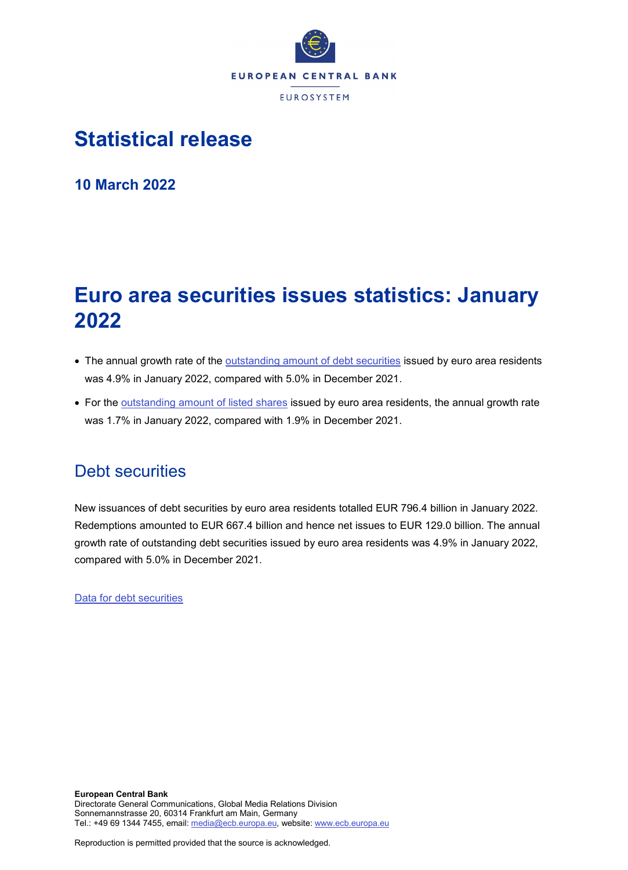

# **Statistical release**

**10 March 2022**

# **Euro area securities issues statistics: January 2022**

- The annual growth rate of the [outstanding amount of debt securities](http://sdw.ecb.europa.eu/quickview.do?SERIES_KEY=130.SEC.M.I8.1000.F33000.N.I.Z01.A.Z) issued by euro area residents was 4.9% in January 2022, compared with 5.0% in December 2021.
- For the [outstanding amount of listed shares](http://sdw.ecb.europa.eu/quickview.do?SERIES_KEY=130.SEC.M.I8.1000.F51100.M.I.Z01.A.Z) issued by euro area residents, the annual growth rate was 1.7% in January 2022, compared with 1.9% in December 2021.

## Debt securities

New issuances of debt securities by euro area residents totalled EUR 796.4 billion in January 2022. Redemptions amounted to EUR 667.4 billion and hence net issues to EUR 129.0 billion. The annual growth rate of outstanding debt securities issued by euro area residents was 4.9% in January 2022, compared with 5.0% in December 2021.

[Data for debt securities](http://sdw.ecb.europa.eu/browseSelection.do?type=series&q=SEC.M.I8.1000.F33000.N.2.Z01.E.Z%2c+SEC.M.I8.1000.F33000.N.3.Z01.E.Z%2c+SEC.M.I8.1000.F33000.N.4.Z01.E.Z%2c+SEC.M.I8.1000.F33000.N.I.Z01.A.Z&node=SEARCHRESULTS&ec=&oc=&rc=&cv=&pb=&dc=&df=)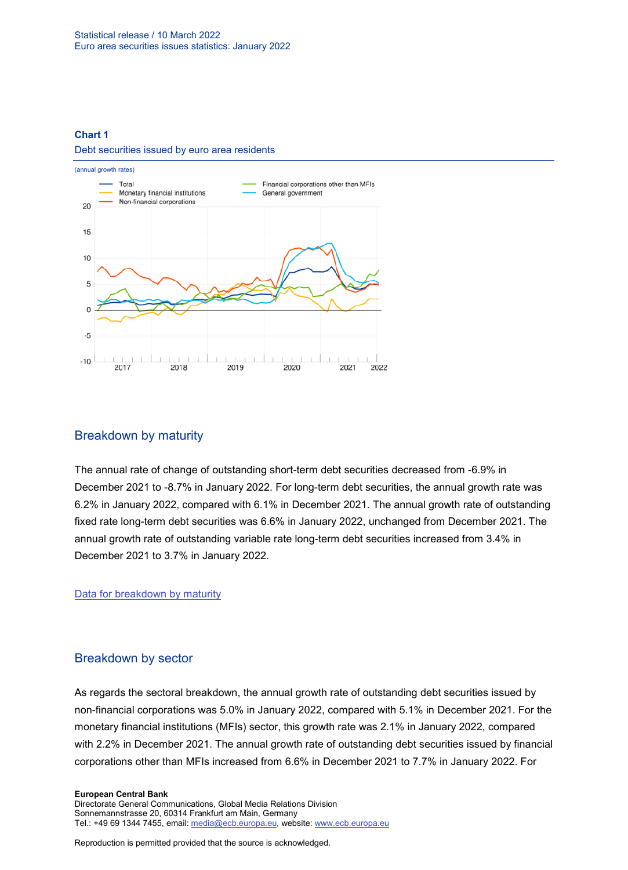#### **Chart 1**

#### Debt securities issued by euro area residents



## Breakdown by maturity

The annual rate of change of outstanding short-term debt securities decreased from -6.9% in December 2021 to -8.7% in January 2022. For long-term debt securities, the annual growth rate was 6.2% in January 2022, compared with 6.1% in December 2021. The annual growth rate of outstanding fixed rate long-term debt securities was 6.6% in January 2022, unchanged from December 2021. The annual growth rate of outstanding variable rate long-term debt securities increased from 3.4% in December 2021 to 3.7% in January 2022.

[Data for breakdown by maturity](http://sdw.ecb.europa.eu/browseSelection.do?type=series&q=SEC.M.I8.1000.F33100.N.I.Z01.A.Z%2c+SEC.M.I8.1000.F33200.N.I.Z01.A.Z%2c+SEC.M.I8.1000.F33201.N.I.Z01.A.Z%2c+SEC.M.I8.1000.F33202.N.I.Z01.A.Z&node=SEARCHRESULTS&ec=&oc=&rc=&cv=&pb=&dc=&df=)

## Breakdown by sector

As regards the sectoral breakdown, the annual growth rate of outstanding debt securities issued by non-financial corporations was 5.0% in January 2022, compared with 5.1% in December 2021. For the monetary financial institutions (MFIs) sector, this growth rate was 2.1% in January 2022, compared with 2.2% in December 2021. The annual growth rate of outstanding debt securities issued by financial corporations other than MFIs increased from 6.6% in December 2021 to 7.7% in January 2022. For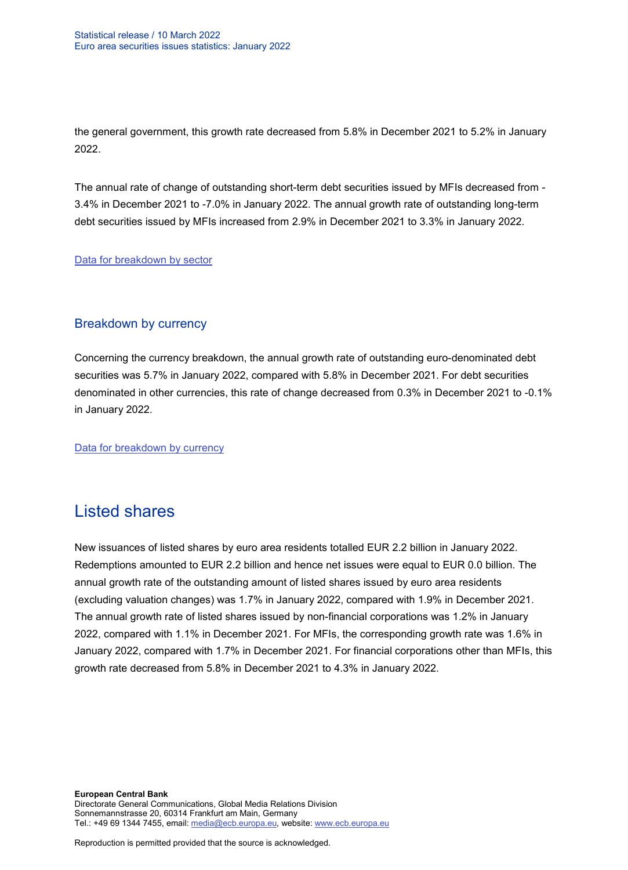the general government, this growth rate decreased from 5.8% in December 2021 to 5.2% in January 2022.

The annual rate of change of outstanding short-term debt securities issued by MFIs decreased from - 3.4% in December 2021 to -7.0% in January 2022. The annual growth rate of outstanding long-term debt securities issued by MFIs increased from 2.9% in December 2021 to 3.3% in January 2022.

### [Data for breakdown by sector](http://sdw.ecb.europa.eu/browseSelection.do?type=series&q=SEC.M.I8.1100.F33000.N.I.Z01.A.Z%2cSEC.M.I8.1220.F33000.N.I.Z01.A.Z%2cSEC.M.I8.1235.F33000.N.I.Z01.A.Z%2cSEC.M.I8.1300.F33000.N.I.Z01.A.Z%2cSEC.M.I8.1220.F33100.N.I.Z01.A.Z%2cSEC.M.I8.1220.F33200.N.I.Z01.A.Z&node=SEARCHRESULTS&ec=&oc=&rc=&cv=&pb=&dc=&df=)

## Breakdown by currency

Concerning the currency breakdown, the annual growth rate of outstanding euro-denominated debt securities was 5.7% in January 2022, compared with 5.8% in December 2021. For debt securities denominated in other currencies, this rate of change decreased from 0.3% in December 2021 to -0.1% in January 2022.

[Data for breakdown by currency](http://sdw.ecb.europa.eu/browseSelection.do?type=series&q=SEC.M.I8.1000.F33000.N.I.EUR.A.Z%2cSEC.M.I8.1000.F33000.N.I.Z06.A.Z&node=SEARCHRESULTS&ec=&oc=&rc=&cv=&pb=&dc=&df=)

## Listed shares

New issuances of listed shares by euro area residents totalled EUR 2.2 billion in January 2022. Redemptions amounted to EUR 2.2 billion and hence net issues were equal to EUR 0.0 billion. The annual growth rate of the outstanding amount of listed shares issued by euro area residents (excluding valuation changes) was 1.7% in January 2022, compared with 1.9% in December 2021. The annual growth rate of listed shares issued by non-financial corporations was 1.2% in January 2022, compared with 1.1% in December 2021. For MFIs, the corresponding growth rate was 1.6% in January 2022, compared with 1.7% in December 2021. For financial corporations other than MFIs, this growth rate decreased from 5.8% in December 2021 to 4.3% in January 2022.

**European Central Bank** Directorate General Communications, Global Media Relations Division Sonnemannstrasse 20, 60314 Frankfurt am Main, Germany Tel.: +49 69 1344 7455, email[: media@ecb.europa.eu,](mailto:media@ecb.europa.eu) website: www.ecb.europa.eu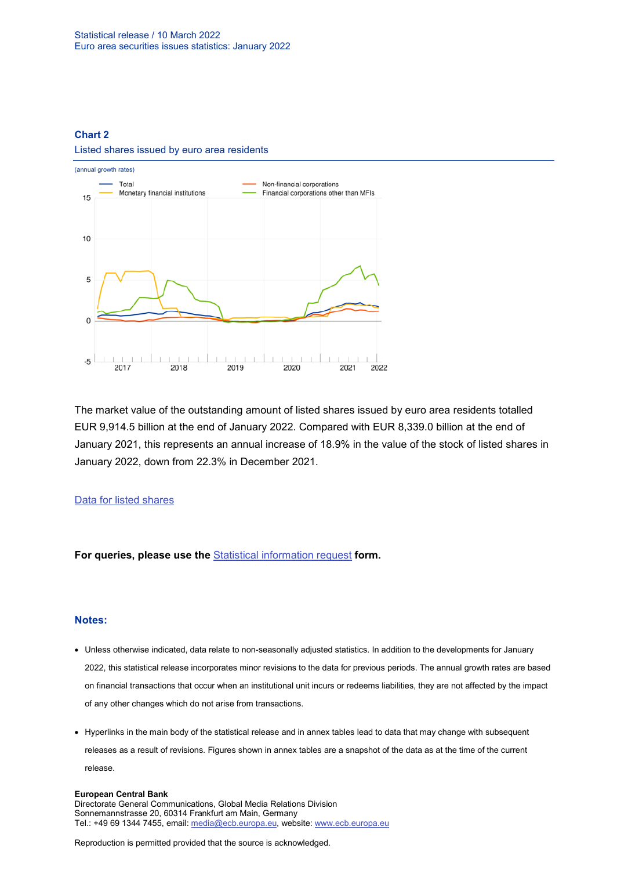### **Chart 2**

#### Listed shares issued by euro area residents



The market value of the outstanding amount of listed shares issued by euro area residents totalled EUR 9,914.5 billion at the end of January 2022. Compared with EUR 8,339.0 billion at the end of January 2021, this represents an annual increase of 18.9% in the value of the stock of listed shares in January 2022, down from 22.3% in December 2021.

### [Data for listed shares](http://sdw.ecb.europa.eu/browseSelection.do?type=series&q=SEC.M.I8.1000.F51100.M.2.Z01.E.Z%2cSEC.M.I8.1000.F51100.M.3.Z01.E.Z%2cSEC.M.I8.1000.F51100.M.4.Z01.E.Z%2cSEC.M.I8.1000.F51100.M.I.Z01.A.Z%2cSEC.M.I8.1100.F51100.M.I.Z01.A.Z%2cSEC.M.I8.1220.F51100.M.I.Z01.A.Z%2cSEC.M.I8.1235.F51100.M.I.Z01.A.Z%2cSEC.M.I8.1000.F51100.M.1.Z01.E.Z&node=SEARCHRESULTS&ec=&oc=&rc=&cv=&pb=&dc=&df=)

**For queries, please use the** [Statistical information request](https://ecb-registration.escb.eu/statistical-information) **form.**

#### **Notes:**

- Unless otherwise indicated, data relate to non-seasonally adjusted statistics. In addition to the developments for January 2022, this statistical release incorporates minor revisions to the data for previous periods. The annual growth rates are based on financial transactions that occur when an institutional unit incurs or redeems liabilities, they are not affected by the impact of any other changes which do not arise from transactions.
- Hyperlinks in the main body of the statistical release and in annex tables lead to data that may change with subsequent releases as a result of revisions. Figures shown in annex tables are a snapshot of the data as at the time of the current release.

#### **European Central Bank**

Directorate General Communications, Global Media Relations Division Sonnemannstrasse 20, 60314 Frankfurt am Main, Germany Tel.: +49 69 1344 7455, email[: media@ecb.europa.eu,](mailto:media@ecb.europa.eu) website: www.ecb.europa.eu

Reproduction is permitted provided that the source is acknowledged.